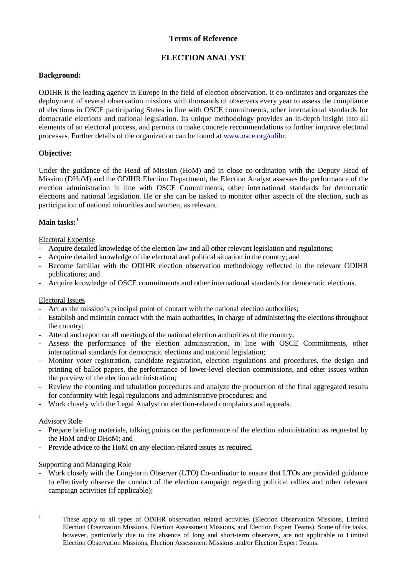## **Terms of Reference**

# **ELECTION ANALYST**

## **Background:**

ODIHR is the leading agency in Europe in the field of election observation. It co-ordinates and organizes the deployment of several observation missions with thousands of observers every year to assess the compliance of elections in OSCE participating States in line with OSCE commitments, other international standards for democratic elections and national legislation. Its unique methodology provides an in-depth insight into all elements of an electoral process, and permits to make concrete recommendations to further improve electoral processes. Further details of the organization can be found at [www.osce.org/odihr.](http://www.osce.org/odihr)

## **Objective:**

Under the guidance of the Head of Mission (HoM) and in close co-ordination with the Deputy Head of Mission (DHoM) and the ODIHR Election Department, the Election Analyst assesses the performance of the election administration in line with OSCE Commitments, other international standards for democratic elections and national legislation. He or she can be tasked to monitor other aspects of the election, such as participation of national minorities and women, as relevant.

## **Main tasks: [1](#page-0-0)**

## Electoral Expertise

- Acquire detailed knowledge of the election law and all other relevant legislation and regulations;
- Acquire detailed knowledge of the electoral and political situation in the country; and
- Become familiar with the ODIHR election observation methodology reflected in the relevant ODIHR publications; and
- Acquire knowledge of OSCE commitments and other international standards for democratic elections.

#### Electoral Issues

- Act as the mission's principal point of contact with the national election authorities;
- Establish and maintain contact with the main authorities, in charge of administering the elections throughout the country;
- Attend and report on all meetings of the national election authorities of the country;
- Assess the performance of the election administration, in line with OSCE Commitments, other international standards for democratic elections and national legislation;
- Monitor voter registration, candidate registration, election regulations and procedures, the design and printing of ballot papers, the performance of lower-level election commissions, and other issues within the purview of the election administration;
- Review the counting and tabulation procedures and analyze the production of the final aggregated results for conformity with legal regulations and administrative procedures; and
- Work closely with the Legal Analyst on election-related complaints and appeals.

#### Advisory Role

- Prepare briefing materials, talking points on the performance of the election administration as requested by the HoM and/or DHoM; and
- Provide advice to the HoM on any election-related issues as required.

## Supporting and Managing Role

Work closely with the Long-term Observer (LTO) Co-ordinator to ensure that LTOs are provided guidance to effectively observe the conduct of the election campaign regarding political rallies and other relevant campaign activities (if applicable);

<span id="page-0-0"></span>

<sup>&</sup>lt;sup>1</sup> These apply to all types of ODIHR observation related activities (Election Observation Missions, Limited Election Observation Missions, Election Assessment Missions, and Election Expert Teams). Some of the tasks, however, particularly due to the absence of long and short-term observers, are not applicable to Limited Election Observation Missions, Election Assessment Missions and/or Election Expert Teams.